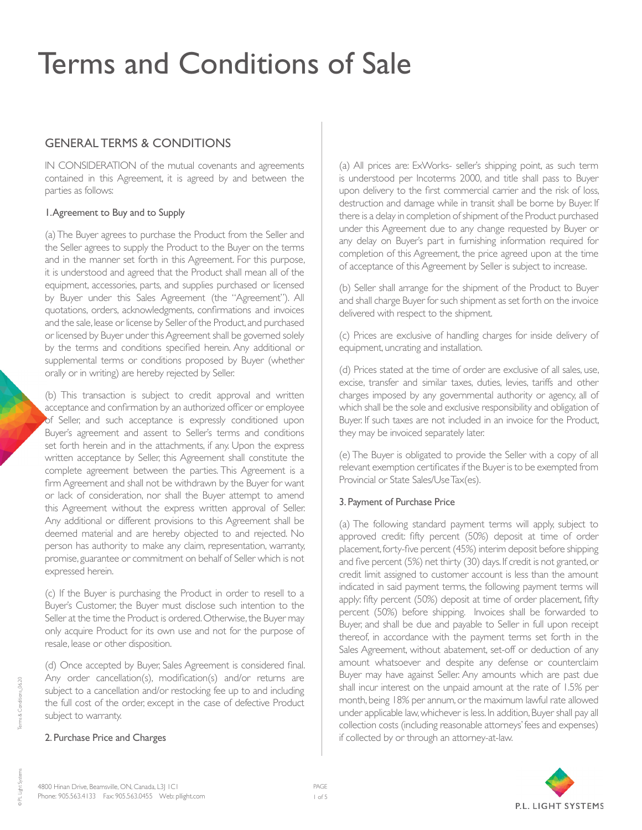## GENERAL TERMS & CONDITIONS

IN CONSIDERATION of the mutual covenants and agreements contained in this Agreement, it is agreed by and between the parties as follows:

## 1. Agreement to Buy and to Supply

(a) The Buyer agrees to purchase the Product from the Seller and the Seller agrees to supply the Product to the Buyer on the terms and in the manner set forth in this Agreement. For this purpose, it is understood and agreed that the Product shall mean all of the equipment, accessories, parts, and supplies purchased or licensed by Buyer under this Sales Agreement (the "Agreement"). All quotations, orders, acknowledgments, confirmations and invoices and the sale, lease or license by Seller of the Product, and purchased or licensed by Buyer under this Agreement shall be governed solely by the terms and conditions specified herein. Any additional or supplemental terms or conditions proposed by Buyer (whether orally or in writing) are hereby rejected by Seller.

(b) This transaction is subject to credit approval and written acceptance and confirmation by an authorized officer or employee of Seller, and such acceptance is expressly conditioned upon Buyer's agreement and assent to Seller's terms and conditions set forth herein and in the attachments, if any. Upon the express written acceptance by Seller, this Agreement shall constitute the complete agreement between the parties. This Agreement is a firm Agreement and shall not be withdrawn by the Buyer for want or lack of consideration, nor shall the Buyer attempt to amend this Agreement without the express written approval of Seller. Any additional or different provisions to this Agreement shall be deemed material and are hereby objected to and rejected. No person has authority to make any claim, representation, warranty, promise, guarantee or commitment on behalf of Seller which is not expressed herein.

(c) If the Buyer is purchasing the Product in order to resell to a Buyer's Customer, the Buyer must disclose such intention to the Seller at the time the Product is ordered. Otherwise, the Buyer may only acquire Product for its own use and not for the purpose of resale, lease or other disposition.

(d) Once accepted by Buyer, Sales Agreement is considered final. Any order cancellation(s), modification(s) and/or returns are subject to a cancellation and/or restocking fee up to and including the full cost of the order, except in the case of defective Product subject to warranty.

#### 2. Purchase Price and Charges

(a) All prices are: ExWorks- seller's shipping point, as such term is understood per Incoterms 2000, and title shall pass to Buyer upon delivery to the first commercial carrier and the risk of loss, destruction and damage while in transit shall be borne by Buyer. If there is a delay in completion of shipment of the Product purchased under this Agreement due to any change requested by Buyer or any delay on Buyer's part in furnishing information required for completion of this Agreement, the price agreed upon at the time of acceptance of this Agreement by Seller is subject to increase.

(b) Seller shall arrange for the shipment of the Product to Buyer and shall charge Buyer for such shipment as set forth on the invoice delivered with respect to the shipment.

(c) Prices are exclusive of handling charges for inside delivery of equipment, uncrating and installation.

(d) Prices stated at the time of order are exclusive of all sales, use, excise, transfer and similar taxes, duties, levies, tariffs and other charges imposed by any governmental authority or agency, all of which shall be the sole and exclusive responsibility and obligation of Buyer. If such taxes are not included in an invoice for the Product, they may be invoiced separately later.

(e) The Buyer is obligated to provide the Seller with a copy of all relevant exemption certificates if the Buyer is to be exempted from Provincial or State Sales/Use Tax(es).

## 3. Payment of Purchase Price

(a) The following standard payment terms will apply, subject to approved credit: fifty percent (50%) deposit at time of order placement, forty-five percent (45%) interim deposit before shipping and five percent (5%) net thirty (30) days. If credit is not granted, or credit limit assigned to customer account is less than the amount indicated in said payment terms, the following payment terms will apply: fifty percent (50%) deposit at time of order placement, fifty percent (50%) before shipping. Invoices shall be forwarded to Buyer, and shall be due and payable to Seller in full upon receipt thereof, in accordance with the payment terms set forth in the Sales Agreement, without abatement, set-off or deduction of any amount whatsoever and despite any defense or counterclaim Buyer may have against Seller. Any amounts which are past due shall incur interest on the unpaid amount at the rate of 1.5% per month, being 18% per annum, or the maximum lawful rate allowed under applicable law, whichever is less. In addition, Buyer shall pay all collection costs (including reasonable attorneys' fees and expenses) if collected by or through an attorney-at-law.



© PL Light Systems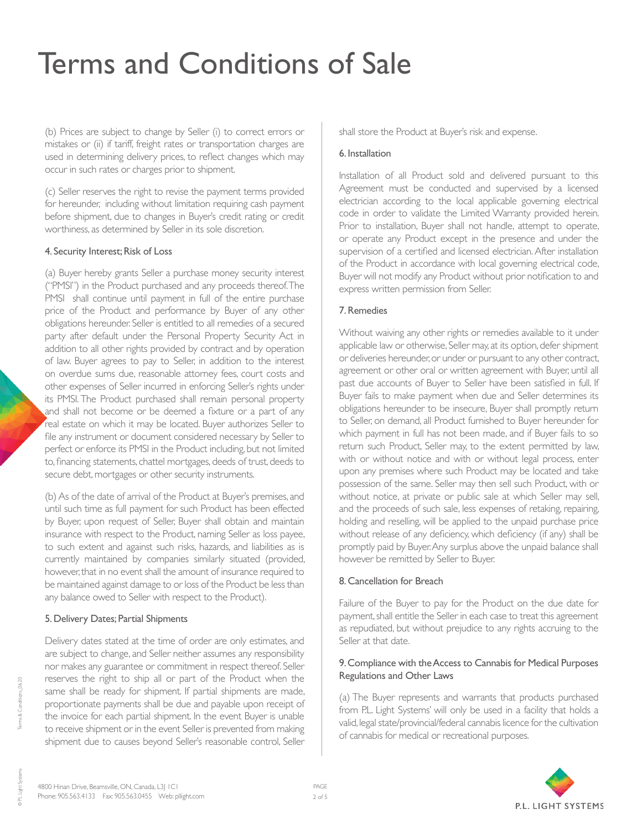(b) Prices are subject to change by Seller (i) to correct errors or mistakes or (ii) if tariff, freight rates or transportation charges are used in determining delivery prices, to reflect changes which may occur in such rates or charges prior to shipment.

(c) Seller reserves the right to revise the payment terms provided for hereunder, including without limitation requiring cash payment before shipment, due to changes in Buyer's credit rating or credit worthiness, as determined by Seller in its sole discretion.

### 4. Security Interest; Risk of Loss

(a) Buyer hereby grants Seller a purchase money security interest ("PMSI") in the Product purchased and any proceeds thereof. The PMSI shall continue until payment in full of the entire purchase price of the Product and performance by Buyer of any other obligations hereunder. Seller is entitled to all remedies of a secured party after default under the Personal Property Security Act in addition to all other rights provided by contract and by operation of law. Buyer agrees to pay to Seller, in addition to the interest on overdue sums due, reasonable attorney fees, court costs and other expenses of Seller incurred in enforcing Seller's rights under its PMSI. The Product purchased shall remain personal property and shall not become or be deemed a fixture or a part of any real estate on which it may be located. Buyer authorizes Seller to file any instrument or document considered necessary by Seller to perfect or enforce its PMSI in the Product including, but not limited to, financing statements, chattel mortgages, deeds of trust, deeds to secure debt, mortgages or other security instruments.

(b) As of the date of arrival of the Product at Buyer's premises, and until such time as full payment for such Product has been effected by Buyer, upon request of Seller, Buyer shall obtain and maintain insurance with respect to the Product, naming Seller as loss payee, to such extent and against such risks, hazards, and liabilities as is currently maintained by companies similarly situated (provided, however, that in no event shall the amount of insurance required to be maintained against damage to or loss of the Product be less than any balance owed to Seller with respect to the Product).

#### 5. Delivery Dates; Partial Shipments

Delivery dates stated at the time of order are only estimates, and are subject to change, and Seller neither assumes any responsibility nor makes any guarantee or commitment in respect thereof. Seller reserves the right to ship all or part of the Product when the same shall be ready for shipment. If partial shipments are made, proportionate payments shall be due and payable upon receipt of the invoice for each partial shipment. In the event Buyer is unable to receive shipment or in the event Seller is prevented from making shipment due to causes beyond Seller's reasonable control, Seller

shall store the Product at Buyer's risk and expense.

#### 6. Installation

Installation of all Product sold and delivered pursuant to this Agreement must be conducted and supervised by a licensed electrician according to the local applicable governing electrical code in order to validate the Limited Warranty provided herein. Prior to installation, Buyer shall not handle, attempt to operate, or operate any Product except in the presence and under the supervision of a certified and licensed electrician. After installation of the Product in accordance with local governing electrical code, Buyer will not modify any Product without prior notification to and express written permission from Seller.

### 7. Remedies

Without waiving any other rights or remedies available to it under applicable law or otherwise, Seller may, at its option, defer shipment or deliveries hereunder, or under or pursuant to any other contract, agreement or other oral or written agreement with Buyer, until all past due accounts of Buyer to Seller have been satisfied in full. If Buyer fails to make payment when due and Seller determines its obligations hereunder to be insecure, Buyer shall promptly return to Seller, on demand, all Product furnished to Buyer hereunder for which payment in full has not been made, and if Buyer fails to so return such Product, Seller may, to the extent permitted by law, with or without notice and with or without legal process, enter upon any premises where such Product may be located and take possession of the same. Seller may then sell such Product, with or without notice, at private or public sale at which Seller may sell, and the proceeds of such sale, less expenses of retaking, repairing, holding and reselling, will be applied to the unpaid purchase price without release of any deficiency, which deficiency (if any) shall be promptly paid by Buyer. Any surplus above the unpaid balance shall however be remitted by Seller to Buyer.

#### 8. Cancellation for Breach

Failure of the Buyer to pay for the Product on the due date for payment, shall entitle the Seller in each case to treat this agreement as repudiated, but without prejudice to any rights accruing to the Seller at that date.

### 9. Compliance with the Access to Cannabis for Medical Purposes Regulations and Other Laws

(a) The Buyer represents and warrants that products purchased from P.L. Light Systems' will only be used in a facility that holds a valid, legal state/provincial/federal cannabis licence for the cultivation of cannabis for medical or recreational purposes.



© PL Light Systems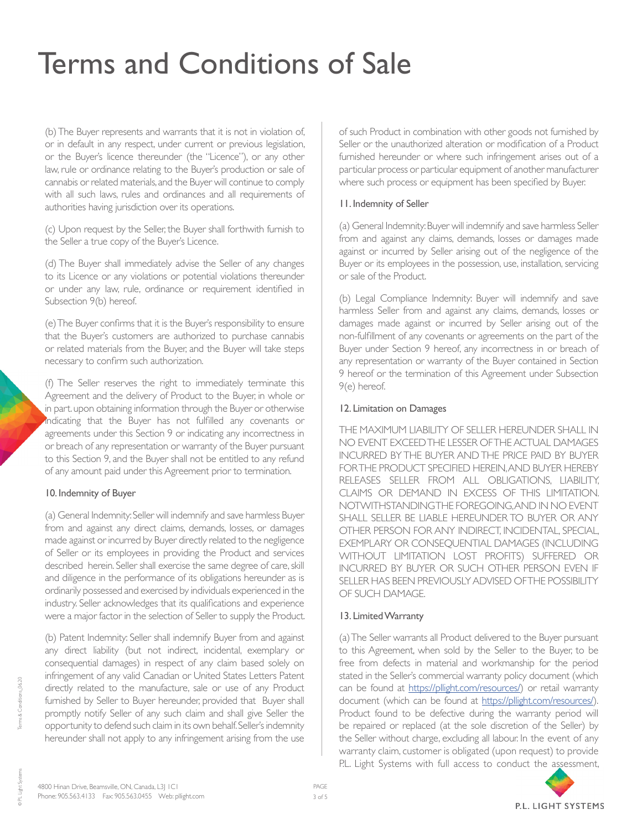(b) The Buyer represents and warrants that it is not in violation of, or in default in any respect, under current or previous legislation, or the Buyer's licence thereunder (the "Licence"), or any other law, rule or ordinance relating to the Buyer's production or sale of cannabis or related materials, and the Buyer will continue to comply with all such laws, rules and ordinances and all requirements of authorities having jurisdiction over its operations.

(c) Upon request by the Seller, the Buyer shall forthwith furnish to the Seller a true copy of the Buyer's Licence.

(d) The Buyer shall immediately advise the Seller of any changes to its Licence or any violations or potential violations thereunder or under any law, rule, ordinance or requirement identified in Subsection 9(b) hereof.

(e) The Buyer confirms that it is the Buyer's responsibility to ensure that the Buyer's customers are authorized to purchase cannabis or related materials from the Buyer, and the Buyer will take steps necessary to confirm such authorization.

(f) The Seller reserves the right to immediately terminate this Agreement and the delivery of Product to the Buyer, in whole or in part. upon obtaining information through the Buyer or otherwise indicating that the Buyer has not fulfilled any covenants or agreements under this Section 9 or indicating any incorrectness in or breach of any representation or warranty of the Buyer pursuant to this Section 9, and the Buyer shall not be entitled to any refund of any amount paid under this Agreement prior to termination.

#### 10. Indemnity of Buyer

(a) General Indemnity: Seller will indemnify and save harmless Buyer from and against any direct claims, demands, losses, or damages made against or incurred by Buyer directly related to the negligence of Seller or its employees in providing the Product and services described herein. Seller shall exercise the same degree of care, skill and diligence in the performance of its obligations hereunder as is ordinarily possessed and exercised by individuals experienced in the industry. Seller acknowledges that its qualifications and experience were a major factor in the selection of Seller to supply the Product.

(b) Patent Indemnity: Seller shall indemnify Buyer from and against any direct liability (but not indirect, incidental, exemplary or consequential damages) in respect of any claim based solely on infringement of any valid Canadian or United States Letters Patent directly related to the manufacture, sale or use of any Product furnished by Seller to Buyer hereunder, provided that Buyer shall promptly notify Seller of any such claim and shall give Seller the opportunity to defend such claim in its own behalf. Seller's indemnity hereunder shall not apply to any infringement arising from the use

of such Product in combination with other goods not furnished by Seller or the unauthorized alteration or modification of a Product furnished hereunder or where such infringement arises out of a particular process or particular equipment of another manufacturer where such process or equipment has been specified by Buyer.

#### 11. Indemnity of Seller

(a) General Indemnity: Buyer will indemnify and save harmless Seller from and against any claims, demands, losses or damages made against or incurred by Seller arising out of the negligence of the Buyer or its employees in the possession, use, installation, servicing or sale of the Product.

(b) Legal Compliance Indemnity: Buyer will indemnify and save harmless Seller from and against any claims, demands, losses or damages made against or incurred by Seller arising out of the non-fulfillment of any covenants or agreements on the part of the Buyer under Section 9 hereof, any incorrectness in or breach of any representation or warranty of the Buyer contained in Section 9 hereof or the termination of this Agreement under Subsection 9(e) hereof.

#### 12. Limitation on Damages

THE MAXIMUM LIABILITY OF SELLER HEREUNDER SHALL IN NO EVENT EXCEED THE LESSER OF THE ACTUAL DAMAGES INCURRED BY THE BUYER AND THE PRICE PAID BY BUYER FOR THE PRODUCT SPECIFIED HEREIN, AND BUYER HEREBY RELEASES SELLER FROM ALL OBLIGATIONS, LIABILITY, CLAIMS OR DEMAND IN EXCESS OF THIS LIMITATION. NOTWITHSTANDING THE FOREGOING, AND IN NO EVENT SHALL SELLER BE LIABLE HEREUNDER TO BUYER OR ANY OTHER PERSON FOR ANY INDIRECT, INCIDENTAL, SPECIAL, EXEMPLARY OR CONSEQUENTIAL DAMAGES (INCLUDING WITHOUT LIMITATION LOST PROFITS) SUFFERED OR INCURRED BY BUYER OR SUCH OTHER PERSON EVEN IF SELLER HAS BEEN PREVIOUSLY ADVISED OF THE POSSIBILITY OF SUCH DAMAGE.

#### 13. Limited Warranty

(a) The Seller warrants all Product delivered to the Buyer pursuant to this Agreement, when sold by the Seller to the Buyer, to be free from defects in material and workmanship for the period stated in the Seller's commercial warranty policy document (which can be found at <https://pllight.com/resources/>) or retail warranty document (which can be found at <https://pllight.com/resources/>). Product found to be defective during the warranty period will be repaired or replaced (at the sole discretion of the Seller) by the Seller without charge, excluding all labour. In the event of any warranty claim, customer is obligated (upon request) to provide P.L. Light Systems with full access to conduct the assessment,



© PL Light Systems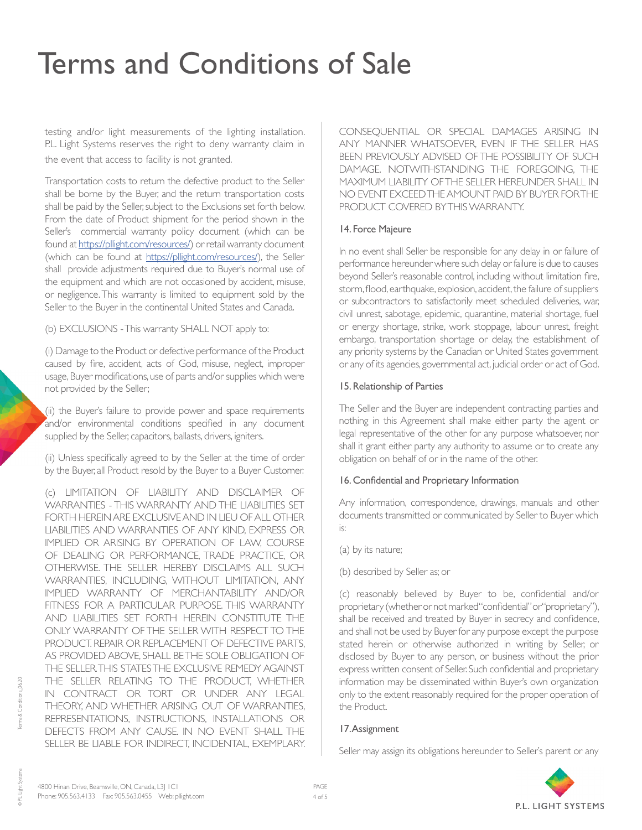testing and/or light measurements of the lighting installation. P.L. Light Systems reserves the right to deny warranty claim in the event that access to facility is not granted.

Transportation costs to return the defective product to the Seller shall be borne by the Buyer, and the return transportation costs shall be paid by the Seller, subject to the Exclusions set forth below. From the date of Product shipment for the period shown in the Seller's commercial warranty policy document (which can be found at<https://pllight.com/resources/>) or retail warranty document (which can be found at [https://pllight.com/resources/\)](https://pllight.com/resources/), the Seller shall provide adjustments required due to Buyer's normal use of the equipment and which are not occasioned by accident, misuse, or negligence. This warranty is limited to equipment sold by the Seller to the Buyer in the continental United States and Canada.

(b) EXCLUSIONS - This warranty SHALL NOT apply to:

(i) Damage to the Product or defective performance of the Product caused by fire, accident, acts of God, misuse, neglect, improper usage, Buyer modifications, use of parts and/or supplies which were not provided by the Seller;

(ii) the Buyer's failure to provide power and space requirements and/or environmental conditions specified in any document supplied by the Seller, capacitors, ballasts, drivers, igniters.

(ii) Unless specifically agreed to by the Seller at the time of order by the Buyer, all Product resold by the Buyer to a Buyer Customer.

(c) LIMITATION OF LIABILITY AND DISCLAIMER OF WARRANTIES - THIS WARRANTY AND THE LIABILITIES SET FORTH HEREIN ARE EXCLUSIVE AND IN LIEU OF ALL OTHER LIABILITIES AND WARRANTIES OF ANY KIND, EXPRESS OR IMPLIED OR ARISING BY OPERATION OF LAW, COURSE OF DEALING OR PERFORMANCE, TRADE PRACTICE, OR OTHERWISE. THE SELLER HEREBY DISCLAIMS ALL SUCH WARRANTIES, INCLUDING, WITHOUT LIMITATION, ANY IMPLIED WARRANTY OF MERCHANTABILITY AND/OR FITNESS FOR A PARTICULAR PURPOSE. THIS WARRANTY AND LIABILITIES SET FORTH HEREIN CONSTITUTE THE ONLY WARRANTY OF THE SELLER WITH RESPECT TO THE PRODUCT. REPAIR OR REPLACEMENT OF DEFECTIVE PARTS, AS PROVIDED ABOVE, SHALL BETHE SOLE OBLIGATION OF THE SELLER. THIS STATES THE EXCLUSIVE REMEDY AGAINST THE SELLER RELATING TO THE PRODUCT, WHETHER IN CONTRACT OR TORT OR UNDER ANY LEGAL THEORY, AND WHETHER ARISING OUT OF WARRANTIES, REPRESENTATIONS, INSTRUCTIONS, INSTALLATIONS OR DEFECTS FROM ANY CAUSE. IN NO EVENT SHALL THE SELLER BE LIABLE FOR INDIRECT, INCIDENTAL, EXEMPLARY. CONSEQUENTIAL OR SPECIAL DAMAGES ARISING IN ANY MANNER WHATSOEVER, EVEN IF THE SELLER HAS BEEN PREVIOUSLY ADVISED OF THE POSSIBILITY OF SUCH DAMAGE. NOTWITHSTANDING THE FOREGOING, THE MAXIMUM LIABILITY OF THE SELLER HEREUNDER SHALL IN NO EVENT EXCEED THE AMOUNT PAID BY BUYER FOR THE PRODUCT COVERED BY THIS WARRANTY.

### 14. Force Majeure

In no event shall Seller be responsible for any delay in or failure of performance hereunder where such delay or failure is due to causes beyond Seller's reasonable control, including without limitation fire, storm, flood, earthquake, explosion, accident, the failure of suppliers or subcontractors to satisfactorily meet scheduled deliveries, war, civil unrest, sabotage, epidemic, quarantine, material shortage, fuel or energy shortage, strike, work stoppage, labour unrest, freight embargo, transportation shortage or delay, the establishment of any priority systems by the Canadian or United States government or any of its agencies, governmental act, judicial order or act of God.

## 15. Relationship of Parties

The Seller and the Buyer are independent contracting parties and nothing in this Agreement shall make either party the agent or legal representative of the other for any purpose whatsoever, nor shall it grant either party any authority to assume or to create any obligation on behalf of or in the name of the other.

## 16. Confidential and Proprietary Information

Any information, correspondence, drawings, manuals and other documents transmitted or communicated by Seller to Buyer which is:

- (a) by its nature;
- (b) described by Seller as; or

(c) reasonably believed by Buyer to be, confidential and/or proprietary (whether or not marked "confidential" or "proprietary"), shall be received and treated by Buyer in secrecy and confidence, and shall not be used by Buyer for any purpose except the purpose stated herein or otherwise authorized in writing by Seller, or disclosed by Buyer to any person, or business without the prior express written consent of Seller. Such confidential and proprietary information may be disseminated within Buyer's own organization only to the extent reasonably required for the proper operation of the Product.

## 17. Assignment

Seller may assign its obligations hereunder to Seller's parent or any



© PL Light Systems